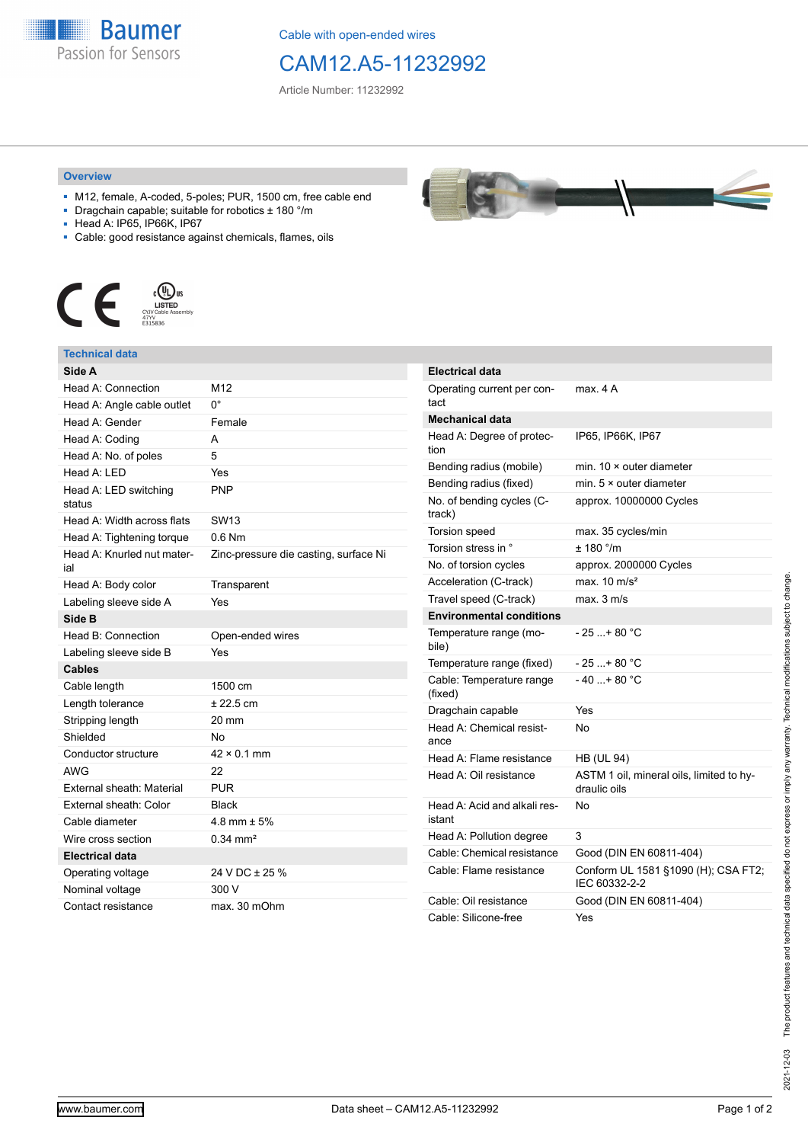**Baumer** Passion for Sensors

Cable with open-ended wires

## CAM12.A5-11232992

Article Number: 11232992

## **Overview**

- M12, female, A-coded, 5-poles; PUR, 1500 cm, free cable end
- Dragchain capable; suitable for robotics ± 180 °/m
- Head A: IP65, IP66K, IP67
- Cable: good resistance against chemicals, flames, oils



## **Technical data**

| Side A                            |                                       |
|-----------------------------------|---------------------------------------|
| Head A: Connection                | M12                                   |
| Head A: Angle cable outlet        | 0°                                    |
| Head A: Gender                    | Female                                |
| Head A: Coding                    | А                                     |
| Head A: No. of poles              | 5                                     |
| Head $A \cdot IFD$                | Yes                                   |
| Head A: LED switching<br>status   | <b>PNP</b>                            |
| Head A: Width across flats        | <b>SW13</b>                           |
| Head A: Tightening torque         | $0.6$ Nm                              |
| Head A: Knurled nut mater-<br>ial | Zinc-pressure die casting, surface Ni |
| Head A: Body color                | Transparent                           |
| Labeling sleeve side A            | Yes                                   |
| Side B                            |                                       |
| Head B: Connection                | Open-ended wires                      |
| Labeling sleeve side B            | Yes                                   |
| <b>Cables</b>                     |                                       |
| Cable length                      | 1500 cm                               |
| Length tolerance                  | $± 22.5$ cm                           |
| Stripping length                  | 20 mm                                 |
| Shielded                          | No                                    |
| Conductor structure               | $42 \times 0.1$ mm                    |
| <b>AWG</b>                        | 22                                    |
| External sheath: Material         | <b>PUR</b>                            |
| External sheath: Color            | <b>Black</b>                          |
| Cable diameter                    | 4.8 mm $\pm$ 5%                       |
| Wire cross section                | $0.34$ mm <sup>2</sup>                |
| <b>Electrical data</b>            |                                       |
| Operating voltage                 | 24 V DC ± 25 %                        |
| Nominal voltage                   | 300 V                                 |
| Contact resistance                | max. 30 mOhm                          |

| <b>Electrical data</b>                 |                                                          |
|----------------------------------------|----------------------------------------------------------|
| Operating current per con-<br>tact     | max. 4 A                                                 |
| <b>Mechanical data</b>                 |                                                          |
| Head A: Degree of protec-<br>tion      | IP65, IP66K, IP67                                        |
| Bending radius (mobile)                | min. $10 \times$ outer diameter                          |
| Bending radius (fixed)                 | min. $5 \times$ outer diameter                           |
| No. of bending cycles (C-<br>track)    | approx. 10000000 Cycles                                  |
| Torsion speed                          | max. 35 cycles/min                                       |
| Torsion stress in °                    | ± 180 °/m                                                |
| No. of torsion cycles                  | approx. 2000000 Cycles                                   |
| Acceleration (C-track)                 | max. $10 \text{ m/s}^2$                                  |
| Travel speed (C-track)                 | max. 3 m/s                                               |
| <b>Environmental conditions</b>        |                                                          |
| Temperature range (mo-<br>bile)        | - 25 + 80 °C                                             |
| Temperature range (fixed)              | $-25+80 °C$                                              |
| Cable: Temperature range<br>(fixed)    | - 40 + 80 °C                                             |
| Dragchain capable                      | Yes                                                      |
| Head A: Chemical resist-<br>ance       | No                                                       |
| Head A: Flame resistance               | <b>HB (UL 94)</b>                                        |
| Head A: Oil resistance                 | ASTM 1 oil, mineral oils, limited to hy-<br>draulic oils |
| Head A: Acid and alkali res-<br>istant | No                                                       |
| Head A: Pollution degree               | 3                                                        |
| Cable: Chemical resistance             | Good (DIN EN 60811-404)                                  |
| Cable: Flame resistance                | Conform UL 1581 §1090 (H); CSA FT2;<br>IEC 60332-2-2     |
| Cable: Oil resistance                  | Good (DIN EN 60811-404)                                  |
| Cable: Silicone-free                   | Yes                                                      |